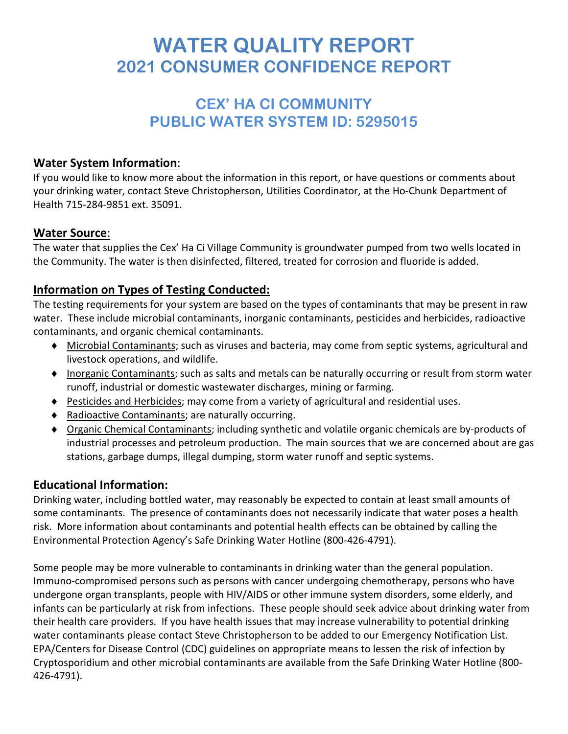# **WATER QUALITY REPORT 2021 CONSUMER CONFIDENCE REPORT**

# **CEX' HA CI COMMUNITY PUBLIC WATER SYSTEM ID: 5295015**

#### **Water System Information**:

If you would like to know more about the information in this report, or have questions or comments about your drinking water, contact Steve Christopherson, Utilities Coordinator, at the Ho-Chunk Department of Health 715-284-9851 ext. 35091.

#### **Water Source**:

The water that supplies the Cex' Ha Ci Village Community is groundwater pumped from two wells located in the Community. The water is then disinfected, filtered, treated for corrosion and fluoride is added.

## **Information on Types of Testing Conducted:**

The testing requirements for your system are based on the types of contaminants that may be present in raw water. These include microbial contaminants, inorganic contaminants, pesticides and herbicides, radioactive contaminants, and organic chemical contaminants.

- ♦ Microbial Contaminants; such as viruses and bacteria, may come from septic systems, agricultural and livestock operations, and wildlife.
- ♦ Inorganic Contaminants; such as salts and metals can be naturally occurring or result from storm water runoff, industrial or domestic wastewater discharges, mining or farming.
- ♦ Pesticides and Herbicides; may come from a variety of agricultural and residential uses.
- ♦ Radioactive Contaminants; are naturally occurring.
- ♦ Organic Chemical Contaminants; including synthetic and volatile organic chemicals are by-products of industrial processes and petroleum production. The main sources that we are concerned about are gas stations, garbage dumps, illegal dumping, storm water runoff and septic systems.

#### **Educational Information:**

Drinking water, including bottled water, may reasonably be expected to contain at least small amounts of some contaminants. The presence of contaminants does not necessarily indicate that water poses a health risk. More information about contaminants and potential health effects can be obtained by calling the Environmental Protection Agency's Safe Drinking Water Hotline (800-426-4791).

Some people may be more vulnerable to contaminants in drinking water than the general population. Immuno-compromised persons such as persons with cancer undergoing chemotherapy, persons who have undergone organ transplants, people with HIV/AIDS or other immune system disorders, some elderly, and infants can be particularly at risk from infections. These people should seek advice about drinking water from their health care providers. If you have health issues that may increase vulnerability to potential drinking water contaminants please contact Steve Christopherson to be added to our Emergency Notification List. EPA/Centers for Disease Control (CDC) guidelines on appropriate means to lessen the risk of infection by Cryptosporidium and other microbial contaminants are available from the Safe Drinking Water Hotline (800- 426-4791).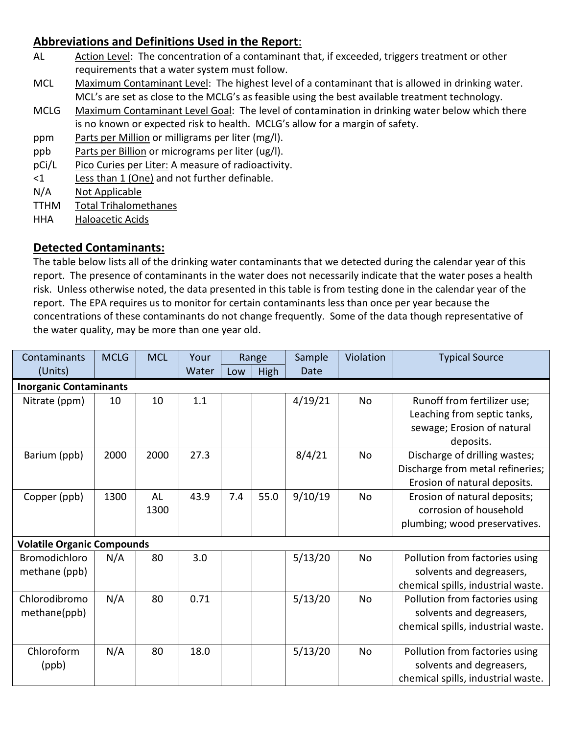## **Abbreviations and Definitions Used in the Report**:

- AL Action Level: The concentration of a contaminant that, if exceeded, triggers treatment or other requirements that a water system must follow.
- MCL Maximum Contaminant Level: The highest level of a contaminant that is allowed in drinking water. MCL's are set as close to the MCLG's as feasible using the best available treatment technology.
- MCLG Maximum Contaminant Level Goal: The level of contamination in drinking water below which there is no known or expected risk to health. MCLG's allow for a margin of safety.
- ppm Parts per Million or milligrams per liter (mg/l).
- ppb Parts per Billion or micrograms per liter (ug/l).
- pCi/L Pico Curies per Liter: A measure of radioactivity.
- <1 Less than 1 (One) and not further definable.
- N/A Not Applicable
- TTHM Total Trihalomethanes
- HHA Haloacetic Acids

#### **Detected Contaminants:**

The table below lists all of the drinking water contaminants that we detected during the calendar year of this report. The presence of contaminants in the water does not necessarily indicate that the water poses a health risk. Unless otherwise noted, the data presented in this table is from testing done in the calendar year of the report. The EPA requires us to monitor for certain contaminants less than once per year because the concentrations of these contaminants do not change frequently. Some of the data though representative of the water quality, may be more than one year old.

| Contaminants                          | <b>MCLG</b> | <b>MCL</b> | Your  |     | Range | Sample  | Violation | <b>Typical Source</b>                                                                                 |  |  |  |  |
|---------------------------------------|-------------|------------|-------|-----|-------|---------|-----------|-------------------------------------------------------------------------------------------------------|--|--|--|--|
| (Units)                               |             |            | Water | Low | High  | Date    |           |                                                                                                       |  |  |  |  |
| <b>Inorganic Contaminants</b>         |             |            |       |     |       |         |           |                                                                                                       |  |  |  |  |
| Nitrate (ppm)                         | 10          | 10         | 1.1   |     |       | 4/19/21 | No        | Runoff from fertilizer use;<br>Leaching from septic tanks,<br>sewage; Erosion of natural<br>deposits. |  |  |  |  |
| Barium (ppb)                          | 2000        | 2000       | 27.3  |     |       | 8/4/21  | No        | Discharge of drilling wastes;<br>Discharge from metal refineries;<br>Erosion of natural deposits.     |  |  |  |  |
| Copper (ppb)                          | 1300        | AL<br>1300 | 43.9  | 7.4 | 55.0  | 9/10/19 | <b>No</b> | Erosion of natural deposits;<br>corrosion of household<br>plumbing; wood preservatives.               |  |  |  |  |
| <b>Volatile Organic Compounds</b>     |             |            |       |     |       |         |           |                                                                                                       |  |  |  |  |
| <b>Bromodichloro</b><br>methane (ppb) | N/A         | 80         | 3.0   |     |       | 5/13/20 | <b>No</b> | Pollution from factories using<br>solvents and degreasers,<br>chemical spills, industrial waste.      |  |  |  |  |
| Chlorodibromo<br>methane(ppb)         | N/A         | 80         | 0.71  |     |       | 5/13/20 | <b>No</b> | Pollution from factories using<br>solvents and degreasers,<br>chemical spills, industrial waste.      |  |  |  |  |
| Chloroform<br>(ppb)                   | N/A         | 80         | 18.0  |     |       | 5/13/20 | No        | Pollution from factories using<br>solvents and degreasers,<br>chemical spills, industrial waste.      |  |  |  |  |